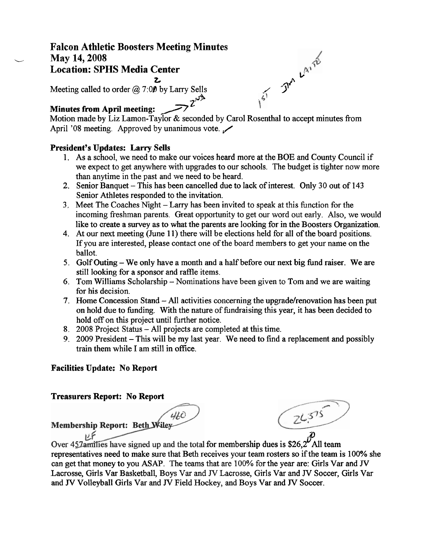# **Falcon Athletic Boosters Meeting Minutes**  May 14, 2008 **Location: SPHS Media Center**   $\frac{z}{\sqrt{1-x^2}}$ <br> **b** by Larry Sells<br>  $\frac{z}{1-x^2}$

Meeting called to order  $(a)$  7:00 by Larry Sells  $z^{\mu\nu}$ 

## **Minutes from April meeting:**

Motion made by Liz Lamon-Taylor & seconded by Carol Rosenthal to accept minutes from **Minutes from April meeting:**<br>Motion made by Liz Lamon-Taylor & seconded by Caro<br>April '08 meeting. Approved by unanimous vote.

#### **President's Updates: Larry Sells**

- 1. As a school, we need to make our voices heard more at the BOE and County Council if we expect to get anywhere with upgrades to our schools. The budget is tighter now more than anytime in the past and we need to be heard.
- 2. Senior Banquet This has been cancelled due to lack of interest. Only 30 out of 143 Senior Athletes responded to the invitation.
- 3, Meet The Coaches Night Larry has been invited to speak at this finction for the incoming freshman parents. Great opportunity to get our word out early. Also, we would like to create a survey as to what the parents are looking for in the Boosters Organization.
- 4. At our next meeting (June 11) there will be elections held for all of the board positions. If you are interested, please contact one of the board members to get your name on the ballot.
- **5.** Golf Outing We only have a month and a half before our next big knd raiser. We are still looking for a sponsor and raffle items.
- *6.* Tom Williams Scholarship Nominations have been given to Tom and we are waiting for his decision.
- 7. Home Concession Stand All activities concerning the upgrade/renovation has been put on hold due to funding. With the nature of fundraising this year, it has been decided to hold off on this project until firther notice.
- 8. 2008 Project Status All projects are completed at this time.
- 9. 2009 President This will be my last year. We need to find a replacement and possibly train them while I am still in ofice.

## **Facilities Update: No Report**

## **Treasurers Report: No Report**

460 Membership Report: Beth Wiley-

 $24.575$ 

كإذا Over  $457$  amilies have signed up and the total for membership dues is \$26,2 All team representatives need to make sure that Beth receives your team rosters so if the team is 100% she can get that money to you ASAP. The teams that are 100% for the year are: Girls Var and **JV**  Lacrosse, Girls Var Basketball, Boys Var and **JV** Lacrosse, Girls Var and **JV** Soccer, Girls Var and **JV** Volleyball Girls Var and **JV** Field Hockey, and Boys Var and **JV** Soccer.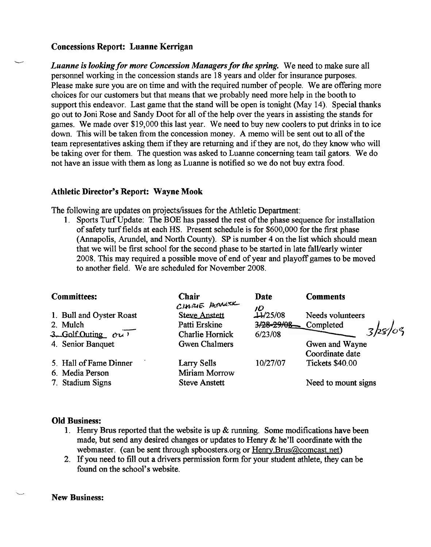#### **Concessions Report: Luanne Kerrigan**

*Luanne is looking for more Concession Managers for the spring.* We need to make sure all personnel working in the concession stands are **18** years and older for insurance purposes. Please make sure you are on time and with the required number of people. We are offering more choices for our customers but that means that we probably need more help in the booth to support this endeavor. Last game that the stand will be open is tonight (May **14).** Special thanks go out to Joni Rose and Sandy Doot for all of the help over the years in assisting the stands for games. We made over \$19,000 this last year. We need to buy new coolers to put drinks in to ice down. This will be taken from the concession money. **A** memo will be sent out to all of the team representatives asking them if they are returning and if they are not, do they know who will be taking over for them. The question was asked to Luanne concerning team tail gators. We do not have an issue with them as long as Luanne is notified so we do not buy extra food.

#### **Athletic Director's Report: Wayne Mook**

| <b>Athletic Director's Report: Wayne Mook</b>                                                                                                                                                                                                                                                                                                                                                                                                                                                                                                                                                           |                        |                |                        |  |  |
|---------------------------------------------------------------------------------------------------------------------------------------------------------------------------------------------------------------------------------------------------------------------------------------------------------------------------------------------------------------------------------------------------------------------------------------------------------------------------------------------------------------------------------------------------------------------------------------------------------|------------------------|----------------|------------------------|--|--|
| The following are updates on projects/issues for the Athletic Department:<br>1. Sports Turf Update: The BOE has passed the rest of the phase sequence for installation<br>of safety turf fields at each HS. Present schedule is for \$600,000 for the first phase<br>(Annapolis, Arundel, and North County). SP is number 4 on the list which should mean<br>that we will be first school for the second phase to be started in late fall/early winter<br>2008. This may required a possible move of end of year and playoff games to be moved<br>to another field. We are scheduled for November 2008. |                        |                |                        |  |  |
| <b>Committees:</b>                                                                                                                                                                                                                                                                                                                                                                                                                                                                                                                                                                                      | Chair<br>CHARIE HERNER | Date           | <b>Comments</b>        |  |  |
| 1. Bull and Oyster Roast                                                                                                                                                                                                                                                                                                                                                                                                                                                                                                                                                                                | <b>Steve Anstett</b>   | טו<br>11/25/08 | Needs volunteers       |  |  |
| 2. Mulch                                                                                                                                                                                                                                                                                                                                                                                                                                                                                                                                                                                                | Patti Erskine          | 3/28-29/08-    | Completed              |  |  |
| 3. Golf Outing $\alpha$                                                                                                                                                                                                                                                                                                                                                                                                                                                                                                                                                                                 | Charlie Hornick        | 6/23/08        |                        |  |  |
| 4. Senior Banquet                                                                                                                                                                                                                                                                                                                                                                                                                                                                                                                                                                                       | <b>Gwen Chalmers</b>   |                | Gwen and Wayne         |  |  |
|                                                                                                                                                                                                                                                                                                                                                                                                                                                                                                                                                                                                         |                        |                | Coordinate date        |  |  |
| 5. Hall of Fame Dinner                                                                                                                                                                                                                                                                                                                                                                                                                                                                                                                                                                                  | Larry Sells            | 10/27/07       | <b>Tickets \$40.00</b> |  |  |
| 6. Media Person                                                                                                                                                                                                                                                                                                                                                                                                                                                                                                                                                                                         | Miriam Morrow          |                |                        |  |  |
| 7. Stadium Signs                                                                                                                                                                                                                                                                                                                                                                                                                                                                                                                                                                                        | <b>Steve Anstett</b>   |                | Need to mount signs    |  |  |

#### **Old Business:**

- 1. Henry **Brus** reported that the website is up & **running.** Some modifications have been made, but send any desired changes or updates to Henry & he'll coordinate with the webmaster. (can be sent through spboosters.org or Henry.Brus@comcast.net)
- 2. If you need to fill out a drivers permission form for your student athlete, they can be found on the school's website.

L **New Business:**